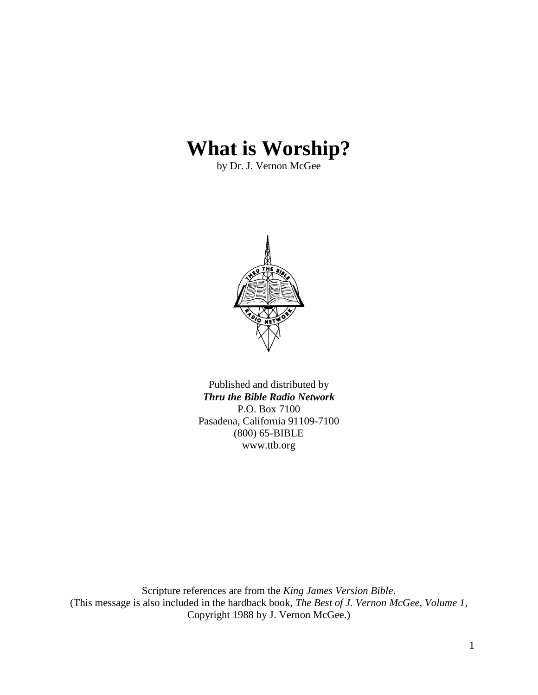# **What is Worship?**

by Dr. J. Vernon McGee



Published and distributed by *Thru the Bible Radio Network* P.O. Box 7100 Pasadena, California 91109-7100 (800) 65-BIBLE www.ttb.org

Scripture references are from the *King James Version Bible*. (This message is also included in the hardback book, *The Best of J. Vernon McGee, Volume 1*, Copyright 1988 by J. Vernon McGee.)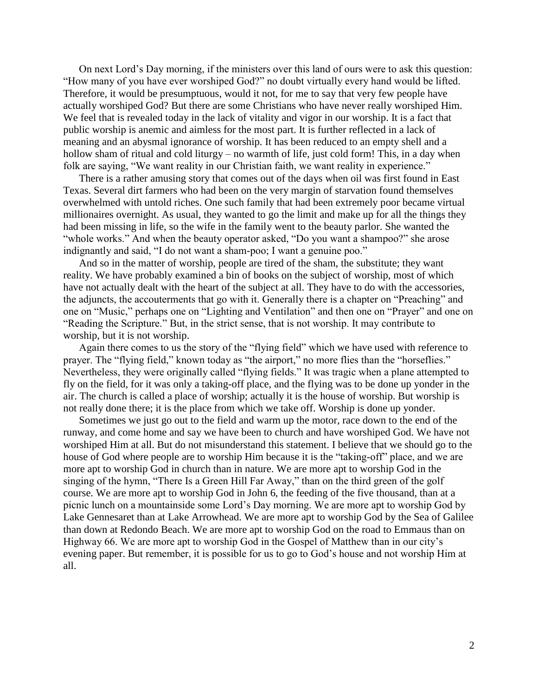On next Lord's Day morning, if the ministers over this land of ours were to ask this question: "How many of you have ever worshiped God?" no doubt virtually every hand would be lifted. Therefore, it would be presumptuous, would it not, for me to say that very few people have actually worshiped God? But there are some Christians who have never really worshiped Him. We feel that is revealed today in the lack of vitality and vigor in our worship. It is a fact that public worship is anemic and aimless for the most part. It is further reflected in a lack of meaning and an abysmal ignorance of worship. It has been reduced to an empty shell and a hollow sham of ritual and cold liturgy – no warmth of life, just cold form! This, in a day when folk are saying, "We want reality in our Christian faith, we want reality in experience."

There is a rather amusing story that comes out of the days when oil was first found in East Texas. Several dirt farmers who had been on the very margin of starvation found themselves overwhelmed with untold riches. One such family that had been extremely poor became virtual millionaires overnight. As usual, they wanted to go the limit and make up for all the things they had been missing in life, so the wife in the family went to the beauty parlor. She wanted the "whole works." And when the beauty operator asked, "Do you want a shampoo?" she arose indignantly and said, "I do not want a sham-poo; I want a genuine poo."

And so in the matter of worship, people are tired of the sham, the substitute; they want reality. We have probably examined a bin of books on the subject of worship, most of which have not actually dealt with the heart of the subject at all. They have to do with the accessories, the adjuncts, the accouterments that go with it. Generally there is a chapter on "Preaching" and one on "Music," perhaps one on "Lighting and Ventilation" and then one on "Prayer" and one on "Reading the Scripture." But, in the strict sense, that is not worship. It may contribute to worship, but it is not worship.

Again there comes to us the story of the "flying field" which we have used with reference to prayer. The "flying field," known today as "the airport," no more flies than the "horseflies." Nevertheless, they were originally called "flying fields." It was tragic when a plane attempted to fly on the field, for it was only a taking-off place, and the flying was to be done up yonder in the air. The church is called a place of worship; actually it is the house of worship. But worship is not really done there; it is the place from which we take off. Worship is done up yonder.

Sometimes we just go out to the field and warm up the motor, race down to the end of the runway, and come home and say we have been to church and have worshiped God. We have not worshiped Him at all. But do not misunderstand this statement. I believe that we should go to the house of God where people are to worship Him because it is the "taking-off" place, and we are more apt to worship God in church than in nature. We are more apt to worship God in the singing of the hymn, "There Is a Green Hill Far Away," than on the third green of the golf course. We are more apt to worship God in John 6, the feeding of the five thousand, than at a picnic lunch on a mountainside some Lord's Day morning. We are more apt to worship God by Lake Gennesaret than at Lake Arrowhead. We are more apt to worship God by the Sea of Galilee than down at Redondo Beach. We are more apt to worship God on the road to Emmaus than on Highway 66. We are more apt to worship God in the Gospel of Matthew than in our city's evening paper. But remember, it is possible for us to go to God's house and not worship Him at all.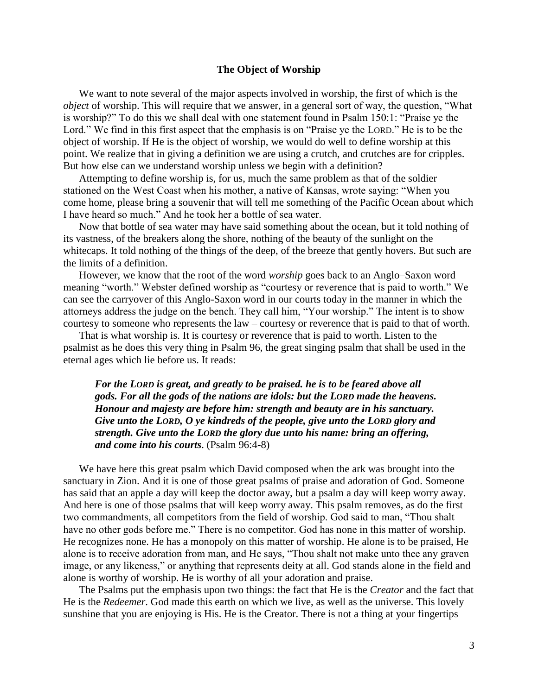# **The Object of Worship**

We want to note several of the major aspects involved in worship, the first of which is the *object* of worship. This will require that we answer, in a general sort of way, the question, "What is worship?" To do this we shall deal with one statement found in Psalm 150:1: "Praise ye the Lord." We find in this first aspect that the emphasis is on "Praise ye the LORD." He is to be the object of worship. If He is the object of worship, we would do well to define worship at this point. We realize that in giving a definition we are using a crutch, and crutches are for cripples. But how else can we understand worship unless we begin with a definition?

Attempting to define worship is, for us, much the same problem as that of the soldier stationed on the West Coast when his mother, a native of Kansas, wrote saying: "When you come home, please bring a souvenir that will tell me something of the Pacific Ocean about which I have heard so much." And he took her a bottle of sea water.

Now that bottle of sea water may have said something about the ocean, but it told nothing of its vastness, of the breakers along the shore, nothing of the beauty of the sunlight on the whitecaps. It told nothing of the things of the deep, of the breeze that gently hovers. But such are the limits of a definition.

However, we know that the root of the word *worship* goes back to an Anglo–Saxon word meaning "worth." Webster defined worship as "courtesy or reverence that is paid to worth." We can see the carryover of this Anglo-Saxon word in our courts today in the manner in which the attorneys address the judge on the bench. They call him, "Your worship." The intent is to show courtesy to someone who represents the law – courtesy or reverence that is paid to that of worth.

That is what worship is. It is courtesy or reverence that is paid to worth. Listen to the psalmist as he does this very thing in Psalm 96, the great singing psalm that shall be used in the eternal ages which lie before us. It reads:

*For the LORD is great, and greatly to be praised. he is to be feared above all gods. For all the gods of the nations are idols: but the LORD made the heavens. Honour and majesty are before him: strength and beauty are in his sanctuary. Give unto the LORD, O ye kindreds of the people, give unto the LORD glory and strength. Give unto the LORD the glory due unto his name: bring an offering, and come into his courts*. (Psalm 96:4-8)

We have here this great psalm which David composed when the ark was brought into the sanctuary in Zion. And it is one of those great psalms of praise and adoration of God. Someone has said that an apple a day will keep the doctor away, but a psalm a day will keep worry away. And here is one of those psalms that will keep worry away. This psalm removes, as do the first two commandments, all competitors from the field of worship. God said to man, "Thou shalt have no other gods before me." There is no competitor. God has none in this matter of worship. He recognizes none. He has a monopoly on this matter of worship. He alone is to be praised, He alone is to receive adoration from man, and He says, "Thou shalt not make unto thee any graven image, or any likeness," or anything that represents deity at all. God stands alone in the field and alone is worthy of worship. He is worthy of all your adoration and praise.

The Psalms put the emphasis upon two things: the fact that He is the *Creator* and the fact that He is the *Redeemer*. God made this earth on which we live, as well as the universe. This lovely sunshine that you are enjoying is His. He is the Creator. There is not a thing at your fingertips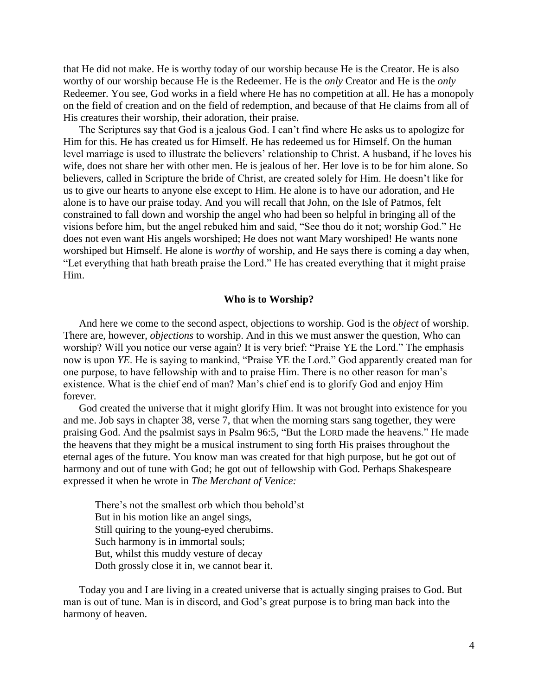that He did not make. He is worthy today of our worship because He is the Creator. He is also worthy of our worship because He is the Redeemer. He is the *only* Creator and He is the *only* Redeemer. You see, God works in a field where He has no competition at all. He has a monopoly on the field of creation and on the field of redemption, and because of that He claims from all of His creatures their worship, their adoration, their praise.

The Scriptures say that God is a jealous God. I can't find where He asks us to apologize for Him for this. He has created us for Himself. He has redeemed us for Himself. On the human level marriage is used to illustrate the believers' relationship to Christ. A husband, if he loves his wife, does not share her with other men. He is jealous of her. Her love is to be for him alone. So believers, called in Scripture the bride of Christ, are created solely for Him. He doesn't like for us to give our hearts to anyone else except to Him. He alone is to have our adoration, and He alone is to have our praise today. And you will recall that John, on the Isle of Patmos, felt constrained to fall down and worship the angel who had been so helpful in bringing all of the visions before him, but the angel rebuked him and said, "See thou do it not; worship God." He does not even want His angels worshiped; He does not want Mary worshiped! He wants none worshiped but Himself. He alone is *worthy* of worship, and He says there is coming a day when, "Let everything that hath breath praise the Lord." He has created everything that it might praise Him.

#### **Who is to Worship?**

And here we come to the second aspect, objections to worship. God is the *object* of worship. There are, however, *objections* to worship. And in this we must answer the question, Who can worship? Will you notice our verse again? It is very brief: "Praise YE the Lord." The emphasis now is upon *YE*. He is saying to mankind, "Praise YE the Lord." God apparently created man for one purpose, to have fellowship with and to praise Him. There is no other reason for man's existence. What is the chief end of man? Man's chief end is to glorify God and enjoy Him forever.

God created the universe that it might glorify Him. It was not brought into existence for you and me. Job says in chapter 38, verse 7, that when the morning stars sang together, they were praising God. And the psalmist says in Psalm 96:5, "But the LORD made the heavens." He made the heavens that they might be a musical instrument to sing forth His praises throughout the eternal ages of the future. You know man was created for that high purpose, but he got out of harmony and out of tune with God; he got out of fellowship with God. Perhaps Shakespeare expressed it when he wrote in *The Merchant of Venice:*

There's not the smallest orb which thou behold'st But in his motion like an angel sings, Still quiring to the young-eyed cherubims. Such harmony is in immortal souls; But, whilst this muddy vesture of decay Doth grossly close it in, we cannot bear it.

Today you and I are living in a created universe that is actually singing praises to God. But man is out of tune. Man is in discord, and God's great purpose is to bring man back into the harmony of heaven.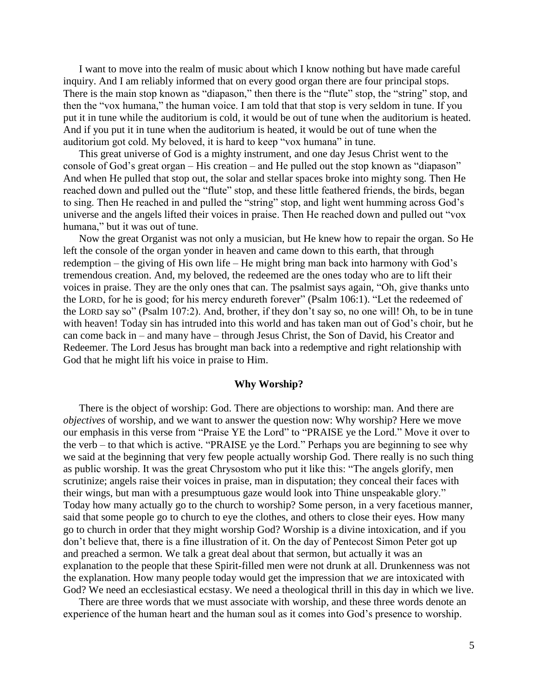I want to move into the realm of music about which I know nothing but have made careful inquiry. And I am reliably informed that on every good organ there are four principal stops. There is the main stop known as "diapason," then there is the "flute" stop, the "string" stop, and then the "vox humana," the human voice. I am told that that stop is very seldom in tune. If you put it in tune while the auditorium is cold, it would be out of tune when the auditorium is heated. And if you put it in tune when the auditorium is heated, it would be out of tune when the auditorium got cold. My beloved, it is hard to keep "vox humana" in tune.

This great universe of God is a mighty instrument, and one day Jesus Christ went to the console of God's great organ – His creation – and He pulled out the stop known as "diapason" And when He pulled that stop out, the solar and stellar spaces broke into mighty song. Then He reached down and pulled out the "flute" stop, and these little feathered friends, the birds, began to sing. Then He reached in and pulled the "string" stop, and light went humming across God's universe and the angels lifted their voices in praise. Then He reached down and pulled out "vox humana," but it was out of tune.

Now the great Organist was not only a musician, but He knew how to repair the organ. So He left the console of the organ yonder in heaven and came down to this earth, that through redemption – the giving of His own life – He might bring man back into harmony with God's tremendous creation. And, my beloved, the redeemed are the ones today who are to lift their voices in praise. They are the only ones that can. The psalmist says again, "Oh, give thanks unto the LORD, for he is good; for his mercy endureth forever" (Psalm 106:1). "Let the redeemed of the LORD say so" (Psalm 107:2). And, brother, if they don't say so, no one will! Oh, to be in tune with heaven! Today sin has intruded into this world and has taken man out of God's choir, but he can come back in – and many have – through Jesus Christ, the Son of David, his Creator and Redeemer. The Lord Jesus has brought man back into a redemptive and right relationship with God that he might lift his voice in praise to Him.

### **Why Worship?**

There is the object of worship: God. There are objections to worship: man. And there are *objectives* of worship, and we want to answer the question now: Why worship? Here we move our emphasis in this verse from "Praise YE the Lord" to "PRAISE ye the Lord." Move it over to the verb – to that which is active. "PRAISE ye the Lord." Perhaps you are beginning to see why we said at the beginning that very few people actually worship God. There really is no such thing as public worship. It was the great Chrysostom who put it like this: "The angels glorify, men scrutinize; angels raise their voices in praise, man in disputation; they conceal their faces with their wings, but man with a presumptuous gaze would look into Thine unspeakable glory." Today how many actually go to the church to worship? Some person, in a very facetious manner, said that some people go to church to eye the clothes, and others to close their eyes. How many go to church in order that they might worship God? Worship is a divine intoxication, and if you don't believe that, there is a fine illustration of it. On the day of Pentecost Simon Peter got up and preached a sermon. We talk a great deal about that sermon, but actually it was an explanation to the people that these Spirit-filled men were not drunk at all. Drunkenness was not the explanation. How many people today would get the impression that *we* are intoxicated with God? We need an ecclesiastical ecstasy. We need a theological thrill in this day in which we live.

There are three words that we must associate with worship, and these three words denote an experience of the human heart and the human soul as it comes into God's presence to worship.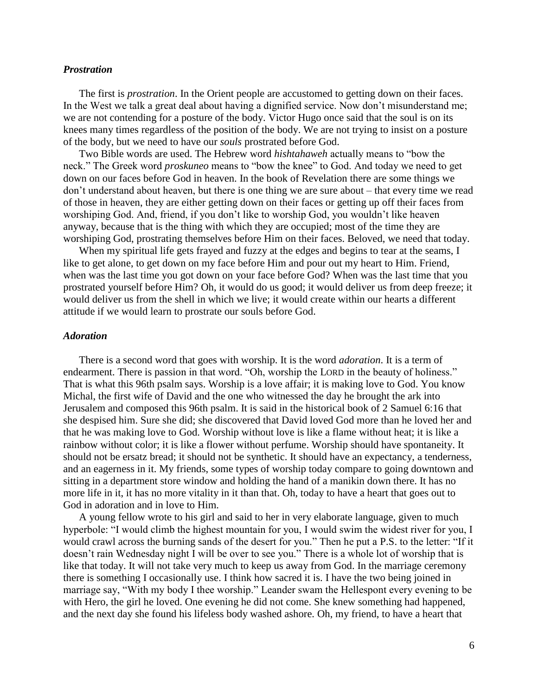# *Prostration*

The first is *prostration*. In the Orient people are accustomed to getting down on their faces. In the West we talk a great deal about having a dignified service. Now don't misunderstand me; we are not contending for a posture of the body. Victor Hugo once said that the soul is on its knees many times regardless of the position of the body. We are not trying to insist on a posture of the body, but we need to have our *souls* prostrated before God.

Two Bible words are used. The Hebrew word *hishtahaweh* actually means to "bow the neck." The Greek word *proskuneo* means to "bow the knee" to God. And today we need to get down on our faces before God in heaven. In the book of Revelation there are some things we don't understand about heaven, but there is one thing we are sure about – that every time we read of those in heaven, they are either getting down on their faces or getting up off their faces from worshiping God. And, friend, if you don't like to worship God, you wouldn't like heaven anyway, because that is the thing with which they are occupied; most of the time they are worshiping God, prostrating themselves before Him on their faces. Beloved, we need that today.

When my spiritual life gets frayed and fuzzy at the edges and begins to tear at the seams, I like to get alone, to get down on my face before Him and pour out my heart to Him. Friend, when was the last time you got down on your face before God? When was the last time that you prostrated yourself before Him? Oh, it would do us good; it would deliver us from deep freeze; it would deliver us from the shell in which we live; it would create within our hearts a different attitude if we would learn to prostrate our souls before God.

# *Adoration*

There is a second word that goes with worship. It is the word *adoration*. It is a term of endearment. There is passion in that word. "Oh, worship the LORD in the beauty of holiness." That is what this 96th psalm says. Worship is a love affair; it is making love to God. You know Michal, the first wife of David and the one who witnessed the day he brought the ark into Jerusalem and composed this 96th psalm. It is said in the historical book of 2 Samuel 6:16 that she despised him. Sure she did; she discovered that David loved God more than he loved her and that he was making love to God. Worship without love is like a flame without heat; it is like a rainbow without color; it is like a flower without perfume. Worship should have spontaneity. It should not be ersatz bread; it should not be synthetic. It should have an expectancy, a tenderness, and an eagerness in it. My friends, some types of worship today compare to going downtown and sitting in a department store window and holding the hand of a manikin down there. It has no more life in it, it has no more vitality in it than that. Oh, today to have a heart that goes out to God in adoration and in love to Him.

A young fellow wrote to his girl and said to her in very elaborate language, given to much hyperbole: "I would climb the highest mountain for you, I would swim the widest river for you, I would crawl across the burning sands of the desert for you." Then he put a P.S. to the letter: "If it doesn't rain Wednesday night I will be over to see you." There is a whole lot of worship that is like that today. It will not take very much to keep us away from God. In the marriage ceremony there is something I occasionally use. I think how sacred it is. I have the two being joined in marriage say, "With my body I thee worship." Leander swam the Hellespont every evening to be with Hero, the girl he loved. One evening he did not come. She knew something had happened, and the next day she found his lifeless body washed ashore. Oh, my friend, to have a heart that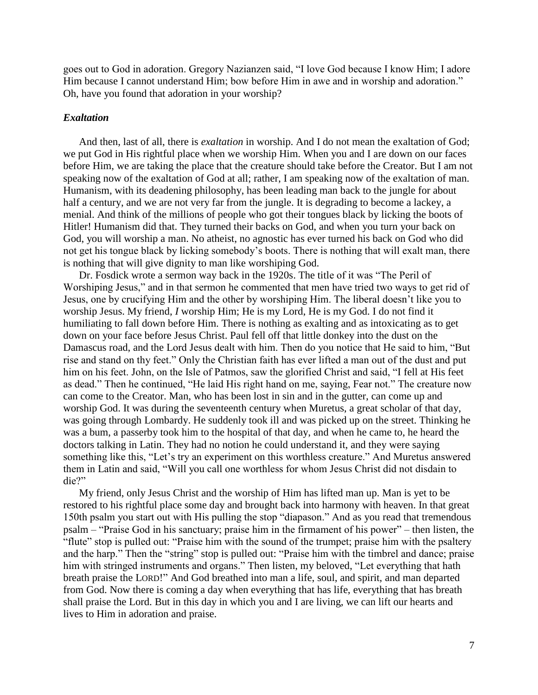goes out to God in adoration. Gregory Nazianzen said, "I love God because I know Him; I adore Him because I cannot understand Him; bow before Him in awe and in worship and adoration." Oh, have you found that adoration in your worship?

# *Exaltation*

And then, last of all, there is *exaltation* in worship. And I do not mean the exaltation of God; we put God in His rightful place when we worship Him. When you and I are down on our faces before Him, we are taking the place that the creature should take before the Creator. But I am not speaking now of the exaltation of God at all; rather, I am speaking now of the exaltation of man. Humanism, with its deadening philosophy, has been leading man back to the jungle for about half a century, and we are not very far from the jungle. It is degrading to become a lackey, a menial. And think of the millions of people who got their tongues black by licking the boots of Hitler! Humanism did that. They turned their backs on God, and when you turn your back on God, you will worship a man. No atheist, no agnostic has ever turned his back on God who did not get his tongue black by licking somebody's boots. There is nothing that will exalt man, there is nothing that will give dignity to man like worshiping God.

Dr. Fosdick wrote a sermon way back in the 1920s. The title of it was "The Peril of Worshiping Jesus," and in that sermon he commented that men have tried two ways to get rid of Jesus, one by crucifying Him and the other by worshiping Him. The liberal doesn't like you to worship Jesus. My friend, *I* worship Him; He is my Lord, He is my God. I do not find it humiliating to fall down before Him. There is nothing as exalting and as intoxicating as to get down on your face before Jesus Christ. Paul fell off that little donkey into the dust on the Damascus road, and the Lord Jesus dealt with him. Then do you notice that He said to him, "But rise and stand on thy feet." Only the Christian faith has ever lifted a man out of the dust and put him on his feet. John, on the Isle of Patmos, saw the glorified Christ and said, "I fell at His feet as dead." Then he continued, "He laid His right hand on me, saying, Fear not." The creature now can come to the Creator. Man, who has been lost in sin and in the gutter, can come up and worship God. It was during the seventeenth century when Muretus, a great scholar of that day, was going through Lombardy. He suddenly took ill and was picked up on the street. Thinking he was a bum, a passerby took him to the hospital of that day, and when he came to, he heard the doctors talking in Latin. They had no notion he could understand it, and they were saying something like this, "Let's try an experiment on this worthless creature." And Muretus answered them in Latin and said, "Will you call one worthless for whom Jesus Christ did not disdain to die?"

My friend, only Jesus Christ and the worship of Him has lifted man up. Man is yet to be restored to his rightful place some day and brought back into harmony with heaven. In that great 150th psalm you start out with His pulling the stop "diapason." And as you read that tremendous psalm – "Praise God in his sanctuary; praise him in the firmament of his power" – then listen, the "flute" stop is pulled out: "Praise him with the sound of the trumpet; praise him with the psaltery and the harp." Then the "string" stop is pulled out: "Praise him with the timbrel and dance; praise him with stringed instruments and organs." Then listen, my beloved, "Let everything that hath breath praise the LORD!" And God breathed into man a life, soul, and spirit, and man departed from God. Now there is coming a day when everything that has life, everything that has breath shall praise the Lord. But in this day in which you and I are living, we can lift our hearts and lives to Him in adoration and praise.